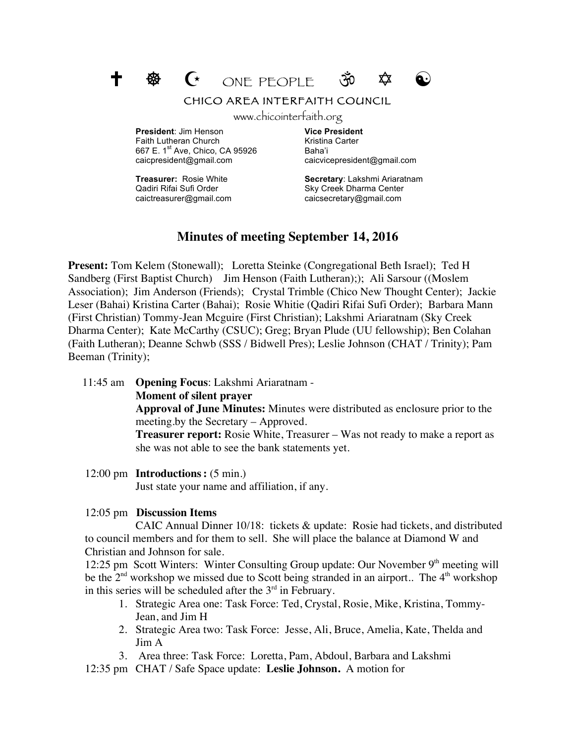

## CHICO AREA INTERFAITH COUNCIL

www.chicointerfaith.org

**President**: Jim Henson **Vice President** Faith Lutheran Church Kristina Carter 667 E. 1<sup>st</sup> Ave, Chico, CA 95926 Baha'i caicpresident@gmail.com caicvicepresident@gmail.com

caictreasurer@gmail.com caicsecretary@gmail.com

**Treasurer:** Rosie White **Secretary**: Lakshmi Ariaratnam Qadiri Rifai Sufi Order Sky Creek Dharma Center

# **Minutes of meeting September 14, 2016**

**Present:** Tom Kelem (Stonewall); Loretta Steinke (Congregational Beth Israel); Ted H Sandberg (First Baptist Church) Jim Henson (Faith Lutheran);); Ali Sarsour ((Moslem Association); Jim Anderson (Friends); Crystal Trimble (Chico New Thought Center); Jackie Leser (Bahai) Kristina Carter (Bahai); Rosie Whitie (Qadiri Rifai Sufi Order); Barbara Mann (First Christian) Tommy-Jean Mcguire (First Christian); Lakshmi Ariaratnam (Sky Creek Dharma Center); Kate McCarthy (CSUC); Greg; Bryan Plude (UU fellowship); Ben Colahan (Faith Lutheran); Deanne Schwb (SSS / Bidwell Pres); Leslie Johnson (CHAT / Trinity); Pam Beeman (Trinity);

11:45 am **Opening Focus**: Lakshmi Ariaratnam -

**Moment of silent prayer** 

**Approval of June Minutes:** Minutes were distributed as enclosure prior to the meeting.by the Secretary – Approved.

**Treasurer report:** Rosie White, Treasurer – Was not ready to make a report as she was not able to see the bank statements yet.

12:00 pm **Introductions:** (5 min.)

Just state your name and affiliation, if any.

12:05 pm **Discussion Items**

CAIC Annual Dinner 10/18: tickets & update: Rosie had tickets, and distributed to council members and for them to sell. She will place the balance at Diamond W and Christian and Johnson for sale.

12:25 pm Scott Winters: Winter Consulting Group update: Our November 9<sup>th</sup> meeting will be the  $2<sup>nd</sup>$  workshop we missed due to Scott being stranded in an airport.. The  $4<sup>th</sup>$  workshop in this series will be scheduled after the  $3<sup>rd</sup>$  in February.

- 1. Strategic Area one: Task Force: Ted, Crystal, Rosie, Mike, Kristina, Tommy-Jean, and Jim H
- 2. Strategic Area two: Task Force: Jesse, Ali, Bruce, Amelia, Kate, Thelda and Jim A
- 3. Area three: Task Force: Loretta, Pam, Abdoul, Barbara and Lakshmi

12:35 pm CHAT / Safe Space update: **Leslie Johnson.** A motion for